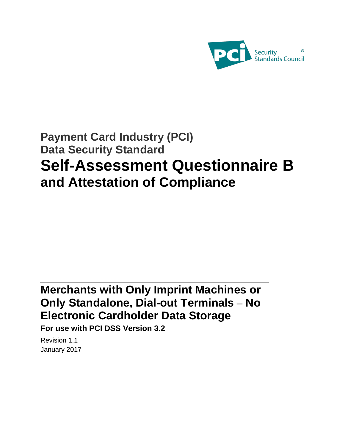

# **Payment Card Industry (PCI) Data Security Standard Self-Assessment Questionnaire B and Attestation of Compliance**

# **Merchants with Only Imprint Machines or Only Standalone, Dial-out Terminals – No Electronic Cardholder Data Storage**

**For use with PCI DSS Version 3.2** 

Revision 1.1 January 2017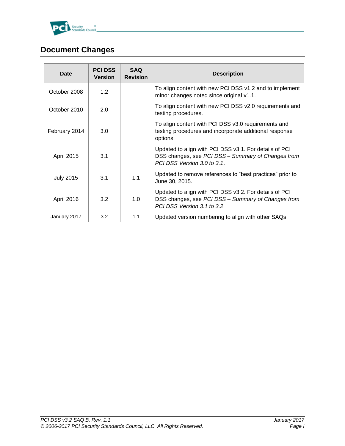

# <span id="page-1-0"></span>**Document Changes**

| Date              | <b>PCI DSS</b><br><b>Version</b> | <b>SAQ</b><br><b>Revision</b> | <b>Description</b>                                                                                                                          |
|-------------------|----------------------------------|-------------------------------|---------------------------------------------------------------------------------------------------------------------------------------------|
| October 2008      | 1.2                              |                               | To align content with new PCI DSS v1.2 and to implement<br>minor changes noted since original v1.1.                                         |
| October 2010      | 2.0                              |                               | To align content with new PCI DSS v2.0 requirements and<br>testing procedures.                                                              |
| February 2014     | 3.0                              |                               | To align content with PCI DSS v3.0 requirements and<br>testing procedures and incorporate additional response<br>options.                   |
| <b>April 2015</b> | 3.1                              |                               | Updated to align with PCI DSS v3.1. For details of PCI<br>DSS changes, see PCI DSS - Summary of Changes from<br>PCI DSS Version 3.0 to 3.1. |
| <b>July 2015</b>  | 3.1                              | 1.1                           | Updated to remove references to "best practices" prior to<br>June 30, 2015.                                                                 |
| April 2016        | 3.2                              | 1.0                           | Updated to align with PCI DSS v3.2. For details of PCI<br>DSS changes, see PCI DSS - Summary of Changes from<br>PCI DSS Version 3.1 to 3.2. |
| January 2017      | 3.2                              | 1.1                           | Updated version numbering to align with other SAQs                                                                                          |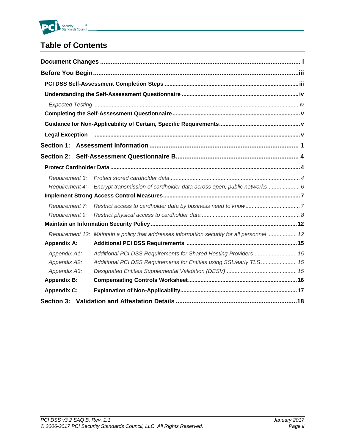

# **Table of Contents**

| <b>Legal Exception</b><br>Requirement 3:<br>Encrypt transmission of cardholder data across open, public networks 6<br>Requirement 4:<br>Requirement 7:<br>Requirement 9: |
|--------------------------------------------------------------------------------------------------------------------------------------------------------------------------|
|                                                                                                                                                                          |
|                                                                                                                                                                          |
|                                                                                                                                                                          |
|                                                                                                                                                                          |
|                                                                                                                                                                          |
|                                                                                                                                                                          |
|                                                                                                                                                                          |
|                                                                                                                                                                          |
|                                                                                                                                                                          |
|                                                                                                                                                                          |
|                                                                                                                                                                          |
|                                                                                                                                                                          |
|                                                                                                                                                                          |
|                                                                                                                                                                          |
|                                                                                                                                                                          |
|                                                                                                                                                                          |
| Requirement 12: Maintain a policy that addresses information security for all personnel  12                                                                              |
| <b>Appendix A:</b>                                                                                                                                                       |
| Additional PCI DSS Requirements for Shared Hosting Providers 15<br>Appendix A1:                                                                                          |
| Additional PCI DSS Requirements for Entities using SSL/early TLS 15<br>Appendix A2:                                                                                      |
| Appendix A3:                                                                                                                                                             |
| <b>Appendix B:</b>                                                                                                                                                       |
| <b>Appendix C:</b>                                                                                                                                                       |
|                                                                                                                                                                          |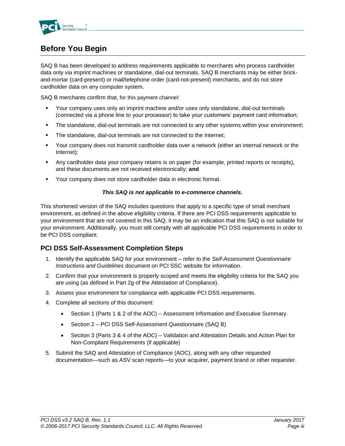

# <span id="page-3-0"></span>**Before You Begin**

SAQ B has been developed to address requirements applicable to merchants who process cardholder data only via imprint machines or standalone, dial-out terminals. SAQ B merchants may be either brickand-mortar (card-present) or mail/telephone order (card-not-present) merchants, and do not store cardholder data on any computer system.

SAQ B merchants confirm that, for this payment channel:

- Your company uses only an imprint machine and/or uses only standalone, dial-out terminals (connected via a phone line to your processor) to take your customers' payment card information;
- The standalone, dial-out terminals are not connected to any other systems within your environment;
- The standalone, dial-out terminals are not connected to the Internet;
- Your company does not transmit cardholder data over a network (either an internal network or the Internet);
- Any cardholder data your company retains is on paper (for example, printed reports or receipts), and these documents are not received electronically; **and**
- Your company does not store cardholder data in electronic format.

### *This SAQ is not applicable to e-commerce channels.*

This shortened version of the SAQ includes questions that apply to a specific type of small merchant environment, as defined in the above eligibility criteria. If there are PCI DSS requirements applicable to your environment that are not covered in this SAQ, it may be an indication that this SAQ is not suitable for your environment. Additionally, you must still comply with all applicable PCI DSS requirements in order to be PCI DSS compliant.

# <span id="page-3-1"></span>**PCI DSS Self-Assessment Completion Steps**

- 1. Identify the applicable SAQ for your environment refer to the *Self-Assessment Questionnaire Instructions and Guidelines* document on PCI SSC website for information.
- 2. Confirm that your environment is properly scoped and meets the eligibility criteria for the SAQ you are using (as defined in Part 2g of the Attestation of Compliance).
- 3. Assess your environment for compliance with applicable PCI DSS requirements.
- 4. Complete all sections of this document:
	- Section 1 (Parts 1 & 2 of the AOC) Assessment Information and Executive Summary.
	- Section 2 PCI DSS Self-Assessment Questionnaire (SAQ B)
	- Section 3 (Parts 3 & 4 of the AOC) Validation and Attestation Details and Action Plan for Non-Compliant Requirements (if applicable)
- 5. Submit the SAQ and Attestation of Compliance (AOC), along with any other requested documentation—such as ASV scan reports—to your acquirer, payment brand or other requester.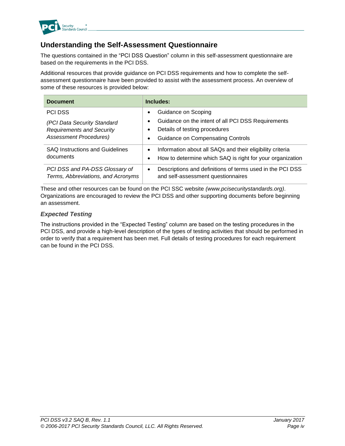

# <span id="page-4-0"></span>**Understanding the Self-Assessment Questionnaire**

The questions contained in the "PCI DSS Question" column in this self-assessment questionnaire are based on the requirements in the PCI DSS.

Additional resources that provide guidance on PCI DSS requirements and how to complete the selfassessment questionnaire have been provided to assist with the assessment process. An overview of some of these resources is provided below:

| <b>Document</b>                                                      | Includes:                                                                                                    |
|----------------------------------------------------------------------|--------------------------------------------------------------------------------------------------------------|
| <b>PCI DSS</b>                                                       | Guidance on Scoping<br>٠                                                                                     |
| (PCI Data Security Standard                                          | Guidance on the intent of all PCI DSS Requirements<br>٠                                                      |
| <b>Requirements and Security</b>                                     | Details of testing procedures<br>٠                                                                           |
| <b>Assessment Procedures)</b>                                        | <b>Guidance on Compensating Controls</b><br>٠                                                                |
| <b>SAQ Instructions and Guidelines</b>                               | Information about all SAQs and their eligibility criteria<br>$\bullet$                                       |
| documents                                                            | How to determine which SAQ is right for your organization<br>$\bullet$                                       |
| PCI DSS and PA-DSS Glossary of<br>Terms, Abbreviations, and Acronyms | Descriptions and definitions of terms used in the PCI DSS<br>$\bullet$<br>and self-assessment questionnaires |

These and other resources can be found on the PCI SSC website *[\(www.pcisecuritystandards.org\)](http://www.pcisecuritystandards.org/)*. Organizations are encouraged to review the PCI DSS and other supporting documents before beginning an assessment.

### <span id="page-4-1"></span>*Expected Testing*

The instructions provided in the "Expected Testing" column are based on the testing procedures in the PCI DSS, and provide a high-level description of the types of testing activities that should be performed in order to verify that a requirement has been met. Full details of testing procedures for each requirement can be found in the PCI DSS.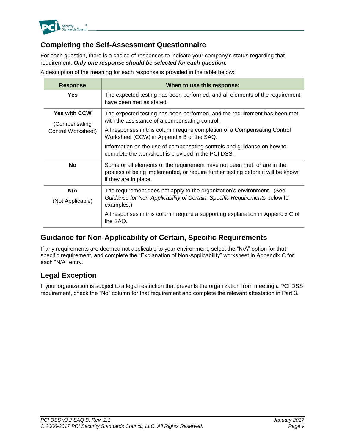

# <span id="page-5-0"></span>**Completing the Self-Assessment Questionnaire**

For each question, there is a choice of responses to indicate your company's status regarding that requirement. *Only one response should be selected for each question.*

**Response When to use this response: Yes** The expected testing has been performed, and all elements of the requirement have been met as stated. **Yes with CCW** (Compensating Control Worksheet) The expected testing has been performed, and the requirement has been met with the assistance of a compensating control. All responses in this column require completion of a Compensating Control Worksheet (CCW) in Appendix B of the SAQ. Information on the use of compensating controls and guidance on how to complete the worksheet is provided in the PCI DSS. **No** Some or all elements of the requirement have not been met, or are in the process of being implemented, or require further testing before it will be known if they are in place. **N/A** (Not Applicable) The requirement does not apply to the organization's environment. (See *Guidance for Non-Applicability of Certain, Specific Requirements* below for examples.) All responses in this column require a supporting explanation in Appendix C of the SAQ.

A description of the meaning for each response is provided in the table below:

# <span id="page-5-1"></span>**Guidance for Non-Applicability of Certain, Specific Requirements**

If any requirements are deemed not applicable to your environment, select the "N/A" option for that specific requirement, and complete the "Explanation of Non-Applicability" worksheet in Appendix C for each "N/A" entry.

# <span id="page-5-2"></span>**Legal Exception**

If your organization is subject to a legal restriction that prevents the organization from meeting a PCI DSS requirement, check the "No" column for that requirement and complete the relevant attestation in Part 3.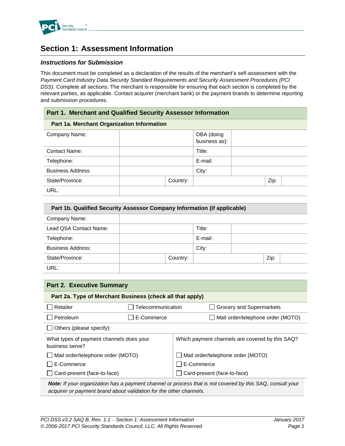

# <span id="page-6-0"></span>**Section 1: Assessment Information**

### *Instructions for Submission*

This document must be completed as a declaration of the results of the merchant's self-assessment with the *Payment Card Industry Data Security Standard Requirements and Security Assessment Procedures (PCI DSS).* Complete all sections: The merchant is responsible for ensuring that each section is completed by the relevant parties, as applicable. Contact acquirer (merchant bank) or the payment brands to determine reporting and submission procedures.

### **Part 1. Merchant and Qualified Security Assessor Information**

#### **Part 1a. Merchant Organization Information**

| Company Name:            |          | DBA (doing<br>business as): |      |  |
|--------------------------|----------|-----------------------------|------|--|
| Contact Name:            |          | Title:                      |      |  |
| Telephone:               |          | E-mail:                     |      |  |
| <b>Business Address:</b> |          | City:                       |      |  |
| State/Province:          | Country: |                             | Zip: |  |
| URL:                     |          |                             |      |  |

| Part 1b. Qualified Security Assessor Company Information (if applicable) |          |         |      |  |
|--------------------------------------------------------------------------|----------|---------|------|--|
| Company Name:                                                            |          |         |      |  |
| Lead QSA Contact Name:                                                   |          | Title:  |      |  |
| Telephone:                                                               |          | E-mail: |      |  |
| <b>Business Address:</b>                                                 |          | City:   |      |  |
| State/Province:                                                          | Country: |         | Zip: |  |
| URL:                                                                     |          |         |      |  |

| <b>Part 2. Executive Summary</b>                                                                                 |                   |            |                                   |  |  |
|------------------------------------------------------------------------------------------------------------------|-------------------|------------|-----------------------------------|--|--|
| Part 2a. Type of Merchant Business (check all that apply)                                                        |                   |            |                                   |  |  |
| Retailer                                                                                                         | Telecommunication |            | Grocery and Supermarkets          |  |  |
| Petroleum                                                                                                        | E-Commerce        |            | Mail order/telephone order (MOTO) |  |  |
| $\Box$ Others (please specify):                                                                                  |                   |            |                                   |  |  |
| Which payment channels are covered by this SAQ?<br>What types of payment channels does your<br>business serve?   |                   |            |                                   |  |  |
| $\Box$ Mail order/telephone order (MOTO)                                                                         |                   |            | Mail order/telephone order (MOTO) |  |  |
| E-Commerce                                                                                                       |                   | E-Commerce |                                   |  |  |
| $\Box$ Card-present (face-to-face)                                                                               |                   |            | Card-present (face-to-face)       |  |  |
| <b>Note:</b> If your organization has a payment channel or process that is not covered by this SAQ, consult your |                   |            |                                   |  |  |

*acquirer or payment brand about validation for the other channels.*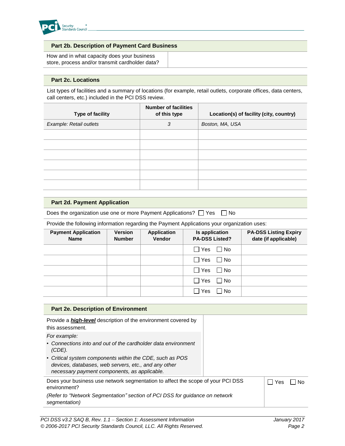

| <b>Part 2b. Description of Payment Card Business</b> |  |
|------------------------------------------------------|--|
| How and in what capacity does your business          |  |
| store, process and/or transmit cardholder data?      |  |

#### **Part 2c. Locations**

List types of facilities and a summary of locations (for example, retail outlets, corporate offices, data centers, call centers, etc.) included in the PCI DSS review.

| Type of facility        | <b>Number of facilities</b><br>of this type | Location(s) of facility (city, country) |
|-------------------------|---------------------------------------------|-----------------------------------------|
| Example: Retail outlets | 3                                           | Boston, MA, USA                         |
|                         |                                             |                                         |
|                         |                                             |                                         |
|                         |                                             |                                         |
|                         |                                             |                                         |
|                         |                                             |                                         |
|                         |                                             |                                         |

#### **Part 2d. Payment Application**

Does the organization use one or more Payment Applications?  $\Box$  Yes  $\Box$  No

Provide the following information regarding the Payment Applications your organization uses:

| <b>Payment Application</b><br><b>Name</b> | <b>Version</b><br><b>Number</b> | <b>Application</b><br><b>Vendor</b> | Is application<br><b>PA-DSS Listed?</b> | <b>PA-DSS Listing Expiry</b><br>date (if applicable) |
|-------------------------------------------|---------------------------------|-------------------------------------|-----------------------------------------|------------------------------------------------------|
|                                           |                                 |                                     | $\Box$ Yes $\Box$ No                    |                                                      |
|                                           |                                 |                                     | $\Box$ Yes $\Box$ No                    |                                                      |
|                                           |                                 |                                     | $\Box$ Yes $\Box$ No                    |                                                      |
|                                           |                                 |                                     | $\Box$ Yes $\Box$ No                    |                                                      |
|                                           |                                 |                                     | $\Box$ Yes<br>l INo                     |                                                      |

| <b>Part 2e. Description of Environment</b>                                                                                                                       |                       |  |
|------------------------------------------------------------------------------------------------------------------------------------------------------------------|-----------------------|--|
| Provide a <b>high-level</b> description of the environment covered by<br>this assessment.                                                                        |                       |  |
| For example:                                                                                                                                                     |                       |  |
| • Connections into and out of the cardholder data environment<br>$(CDE)$ .                                                                                       |                       |  |
| • Critical system components within the CDE, such as POS<br>devices, databases, web servers, etc., and any other<br>necessary payment components, as applicable. |                       |  |
| Does your business use network segmentation to affect the scope of your PCI DSS<br>environment?                                                                  | Yes<br>$\blacksquare$ |  |
| (Refer to "Network Segmentation" section of PCI DSS for guidance on network<br>segmentation)                                                                     |                       |  |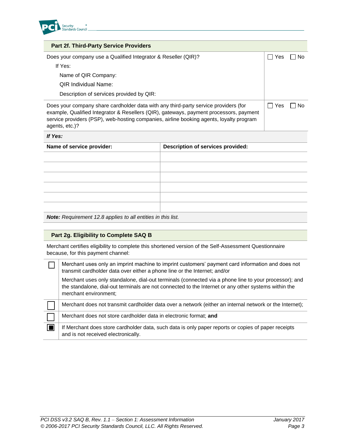

| <b>Part 2f. Third-Party Service Providers</b>                                                                                                                                                                                                                                              |     |    |
|--------------------------------------------------------------------------------------------------------------------------------------------------------------------------------------------------------------------------------------------------------------------------------------------|-----|----|
| Does your company use a Qualified Integrator & Reseller (QIR)?                                                                                                                                                                                                                             | Yes | N٥ |
| If Yes:                                                                                                                                                                                                                                                                                    |     |    |
| Name of QIR Company:                                                                                                                                                                                                                                                                       |     |    |
| OIR Individual Name:                                                                                                                                                                                                                                                                       |     |    |
| Description of services provided by QIR:                                                                                                                                                                                                                                                   |     |    |
| Does your company share cardholder data with any third-party service providers (for<br>example, Qualified Integrator & Resellers (QIR), gateways, payment processors, payment<br>service providers (PSP), web-hosting companies, airline booking agents, loyalty program<br>agents, etc.)? |     | N٥ |
| If Yes:                                                                                                                                                                                                                                                                                    |     |    |

| Description of services provided: |
|-----------------------------------|
|                                   |
|                                   |
|                                   |
|                                   |
|                                   |
|                                   |
|                                   |

*Note: Requirement 12.8 applies to all entities in this list.*

### **Part 2g. Eligibility to Complete SAQ B**

 $\Box$ 

Merchant certifies eligibility to complete this shortened version of the Self-Assessment Questionnaire because, for this payment channel:

| Merchant uses only an imprint machine to imprint customers' payment card information and does not |
|---------------------------------------------------------------------------------------------------|
| transmit cardholder data over either a phone line or the Internet; and/or                         |

Merchant uses only standalone, dial-out terminals (connected via a phone line to your processor); and the standalone, dial-out terminals are not connected to the Internet or any other systems within the merchant environment;

| Merchant does not transmit cardholder data over a network (either an internal network or the Internet);                                    |
|--------------------------------------------------------------------------------------------------------------------------------------------|
| Merchant does not store cardholder data in electronic format; and                                                                          |
| If Merchant does store cardholder data, such data is only paper reports or copies of paper receipts<br>and is not received electronically. |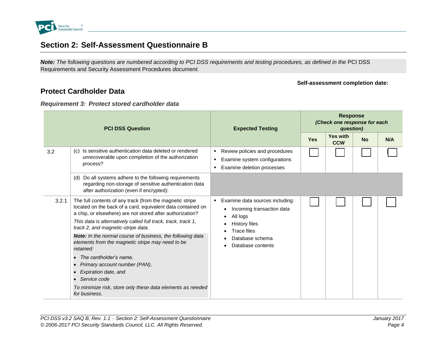

# **Section 2: Self-Assessment Questionnaire B**

*Note: The following questions are numbered according to PCI DSS requirements and testing procedures, as defined in the* PCI DSS Requirements and Security Assessment Procedures *document.* 

#### **Self-assessment completion date:**

# **Protect Cardholder Data**

### *Requirement 3: Protect stored cardholder data*

<span id="page-9-2"></span><span id="page-9-1"></span><span id="page-9-0"></span>

| <b>PCI DSS Question</b> |                                                                                                                                                                                             | <b>Expected Testing</b>                                                                            | <b>Response</b><br>(Check one response for each<br>question) |                               |           |     |  |
|-------------------------|---------------------------------------------------------------------------------------------------------------------------------------------------------------------------------------------|----------------------------------------------------------------------------------------------------|--------------------------------------------------------------|-------------------------------|-----------|-----|--|
|                         |                                                                                                                                                                                             |                                                                                                    | <b>Yes</b>                                                   | <b>Yes with</b><br><b>CCW</b> | <b>No</b> | N/A |  |
| 3.2                     | (c) Is sensitive authentication data deleted or rendered<br>unrecoverable upon completion of the authorization<br>process?                                                                  | Review policies and procedures<br>Examine system configurations<br>Examine deletion processes<br>п |                                                              |                               |           |     |  |
|                         | Do all systems adhere to the following requirements<br>(d)<br>regarding non-storage of sensitive authentication data<br>after authorization (even if encrypted):                            |                                                                                                    |                                                              |                               |           |     |  |
| 3.2.1                   | The full contents of any track (from the magnetic stripe<br>located on the back of a card, equivalent data contained on<br>a chip, or elsewhere) are not stored after authorization?        | Examine data sources including:<br>Incoming transaction data<br>All logs                           |                                                              |                               |           |     |  |
|                         | This data is alternatively called full track, track, track 1,<br>track 2, and magnetic-stripe data.                                                                                         | <b>History files</b><br><b>Trace files</b>                                                         |                                                              |                               |           |     |  |
|                         | Note: In the normal course of business, the following data<br>elements from the magnetic stripe may need to be<br>retained:                                                                 | Database schema<br>Database contents                                                               |                                                              |                               |           |     |  |
|                         | The cardholder's name.<br>Primary account number (PAN),<br>$\bullet$<br>Expiration date, and<br>Service code<br>To minimize risk, store only these data elements as needed<br>for business. |                                                                                                    |                                                              |                               |           |     |  |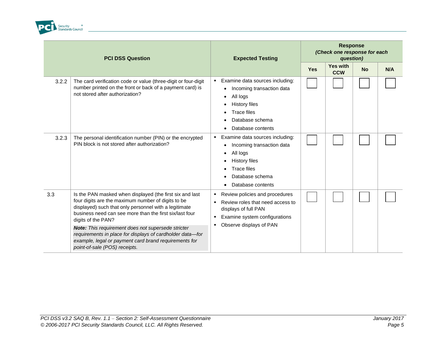

| <b>PCI DSS Question</b> |                                                                                                                                                                                                                                                                                                                                                                                                                                                                       | <b>Expected Testing</b>                                                                                                                                                            | <b>Response</b><br>(Check one response for each<br>question) |                               |           |     |  |
|-------------------------|-----------------------------------------------------------------------------------------------------------------------------------------------------------------------------------------------------------------------------------------------------------------------------------------------------------------------------------------------------------------------------------------------------------------------------------------------------------------------|------------------------------------------------------------------------------------------------------------------------------------------------------------------------------------|--------------------------------------------------------------|-------------------------------|-----------|-----|--|
|                         |                                                                                                                                                                                                                                                                                                                                                                                                                                                                       |                                                                                                                                                                                    | <b>Yes</b>                                                   | <b>Yes with</b><br><b>CCW</b> | <b>No</b> | N/A |  |
| 3.2.2                   | The card verification code or value (three-digit or four-digit<br>number printed on the front or back of a payment card) is<br>not stored after authorization?                                                                                                                                                                                                                                                                                                        | Examine data sources including:<br>$\blacksquare$<br>Incoming transaction data<br>All logs<br><b>History files</b><br><b>Trace files</b><br>Database schema<br>Database contents   |                                                              |                               |           |     |  |
| 3.2.3                   | The personal identification number (PIN) or the encrypted<br>PIN block is not stored after authorization?                                                                                                                                                                                                                                                                                                                                                             | Examine data sources including:<br>٠<br>Incoming transaction data<br>All logs<br><b>History files</b><br>$\bullet$<br><b>Trace files</b><br>Database schema<br>Database contents   |                                                              |                               |           |     |  |
| 3.3                     | Is the PAN masked when displayed (the first six and last<br>four digits are the maximum number of digits to be<br>displayed) such that only personnel with a legitimate<br>business need can see more than the first six/last four<br>digits of the PAN?<br>Note: This requirement does not supersede stricter<br>requirements in place for displays of cardholder data-for<br>example, legal or payment card brand requirements for<br>point-of-sale (POS) receipts. | Review policies and procedures<br>٠<br>Review roles that need access to<br>displays of full PAN<br>Examine system configurations<br>٠<br>Observe displays of PAN<br>$\blacksquare$ |                                                              |                               |           |     |  |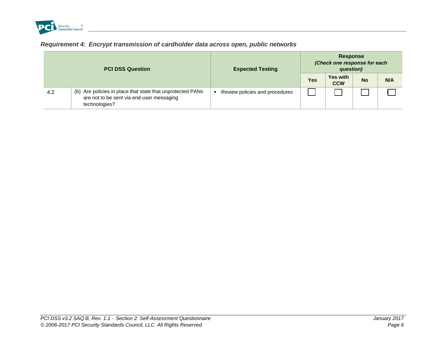

# *Requirement 4: Encrypt transmission of cardholder data across open, public networks*

<span id="page-11-1"></span><span id="page-11-0"></span>

|     | <b>PCI DSS Question</b>                                                                                                  | <b>Expected Testing</b>        | <b>Response</b><br>(Check one response for each<br>question) |                               |           |     |  |
|-----|--------------------------------------------------------------------------------------------------------------------------|--------------------------------|--------------------------------------------------------------|-------------------------------|-----------|-----|--|
|     |                                                                                                                          |                                | Yes                                                          | <b>Yes with</b><br><b>CCW</b> | <b>No</b> | N/A |  |
| 4.2 | (b) Are policies in place that state that unprotected PANs<br>are not to be sent via end-user messaging<br>technologies? | Review policies and procedures |                                                              |                               |           |     |  |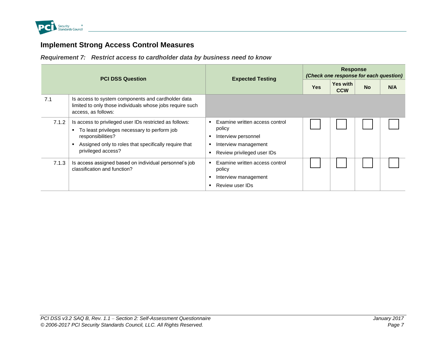

# **Implement Strong Access Control Measures**

*Requirement 7: Restrict access to cardholder data by business need to know*

<span id="page-12-0"></span>

| <b>PCI DSS Question</b> |                                                                                                                                                                                                             | <b>Expected Testing</b>                                                                                               | <b>Response</b><br>(Check one response for each question) |                               |           |     |  |  |
|-------------------------|-------------------------------------------------------------------------------------------------------------------------------------------------------------------------------------------------------------|-----------------------------------------------------------------------------------------------------------------------|-----------------------------------------------------------|-------------------------------|-----------|-----|--|--|
|                         |                                                                                                                                                                                                             |                                                                                                                       | <b>Yes</b>                                                | <b>Yes with</b><br><b>CCW</b> | <b>No</b> | N/A |  |  |
| 7.1                     | Is access to system components and cardholder data<br>limited to only those individuals whose jobs require such<br>access, as follows:                                                                      |                                                                                                                       |                                                           |                               |           |     |  |  |
| 7.1.2                   | Is access to privileged user IDs restricted as follows:<br>To least privileges necessary to perform job<br>responsibilities?<br>Assigned only to roles that specifically require that<br>privileged access? | Examine written access control<br>policy<br>Interview personnel<br>Interview management<br>Review privileged user IDs |                                                           |                               |           |     |  |  |
| 7.1.3                   | Is access assigned based on individual personnel's job<br>classification and function?                                                                                                                      | Examine written access control<br>policy<br>Interview management<br>Review user IDs                                   |                                                           |                               |           |     |  |  |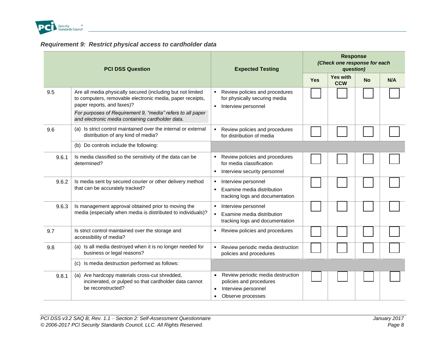

# *Requirement 9: Restrict physical access to cardholder data*

<span id="page-13-0"></span>

|       | <b>PCI DSS Question</b>                                                                                                                                | <b>Expected Testing</b>                                                                                                            | <b>Response</b><br>(Check one response for each<br>question) |                               |           |     |  |  |
|-------|--------------------------------------------------------------------------------------------------------------------------------------------------------|------------------------------------------------------------------------------------------------------------------------------------|--------------------------------------------------------------|-------------------------------|-----------|-----|--|--|
|       |                                                                                                                                                        |                                                                                                                                    | <b>Yes</b>                                                   | <b>Yes with</b><br><b>CCW</b> | <b>No</b> | N/A |  |  |
| 9.5   | Are all media physically secured (including but not limited<br>to computers, removable electronic media, paper receipts,<br>paper reports, and faxes)? | Review policies and procedures<br>for physically securing media<br>Interview personnel<br>$\blacksquare$                           |                                                              |                               |           |     |  |  |
|       | For purposes of Requirement 9, "media" refers to all paper<br>and electronic media containing cardholder data.                                         |                                                                                                                                    |                                                              |                               |           |     |  |  |
| 9.6   | (a) Is strict control maintained over the internal or external<br>distribution of any kind of media?                                                   | Review policies and procedures<br>for distribution of media                                                                        |                                                              |                               |           |     |  |  |
|       | (b) Do controls include the following:                                                                                                                 |                                                                                                                                    |                                                              |                               |           |     |  |  |
| 9.6.1 | Is media classified so the sensitivity of the data can be<br>determined?                                                                               | Review policies and procedures<br>for media classification                                                                         |                                                              |                               |           |     |  |  |
|       |                                                                                                                                                        | Interview security personnel<br>٠                                                                                                  |                                                              |                               |           |     |  |  |
| 9.6.2 | Is media sent by secured courier or other delivery method<br>that can be accurately tracked?                                                           | Interview personnel<br>٠<br>Examine media distribution<br>$\blacksquare$<br>tracking logs and documentation                        |                                                              |                               |           |     |  |  |
| 9.6.3 | Is management approval obtained prior to moving the<br>media (especially when media is distributed to individuals)?                                    | Interview personnel<br>٠<br>Examine media distribution<br>tracking logs and documentation                                          |                                                              |                               |           |     |  |  |
| 9.7   | Is strict control maintained over the storage and<br>accessibility of media?                                                                           | Review policies and procedures                                                                                                     |                                                              |                               |           |     |  |  |
| 9.8   | (a) Is all media destroyed when it is no longer needed for<br>business or legal reasons?                                                               | Review periodic media destruction<br>٠<br>policies and procedures                                                                  |                                                              |                               |           |     |  |  |
|       | (c) Is media destruction performed as follows:                                                                                                         |                                                                                                                                    |                                                              |                               |           |     |  |  |
| 9.8.1 | (a) Are hardcopy materials cross-cut shredded,<br>incinerated, or pulped so that cardholder data cannot<br>be reconstructed?                           | Review periodic media destruction<br>policies and procedures<br>Interview personnel<br>$\bullet$<br>Observe processes<br>$\bullet$ |                                                              |                               |           |     |  |  |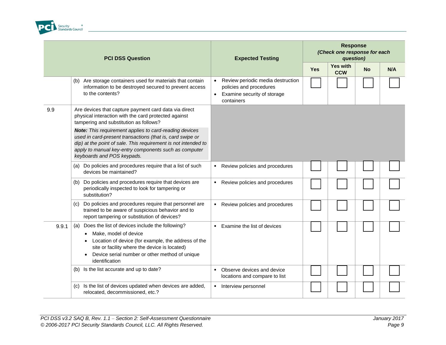

| <b>PCI DSS Question</b> |                                                                                                                                                                                                                                                                              | <b>Expected Testing</b>                                                                                                | <b>Response</b><br>(Check one response for each<br>question) |                               |           |     |  |  |
|-------------------------|------------------------------------------------------------------------------------------------------------------------------------------------------------------------------------------------------------------------------------------------------------------------------|------------------------------------------------------------------------------------------------------------------------|--------------------------------------------------------------|-------------------------------|-----------|-----|--|--|
|                         |                                                                                                                                                                                                                                                                              |                                                                                                                        | <b>Yes</b>                                                   | <b>Yes with</b><br><b>CCW</b> | <b>No</b> | N/A |  |  |
|                         | (b) Are storage containers used for materials that contain<br>information to be destroyed secured to prevent access<br>to the contents?                                                                                                                                      | Review periodic media destruction<br>$\bullet$<br>policies and procedures<br>Examine security of storage<br>containers |                                                              |                               |           |     |  |  |
| 9.9                     | Are devices that capture payment card data via direct<br>physical interaction with the card protected against<br>tampering and substitution as follows?                                                                                                                      |                                                                                                                        |                                                              |                               |           |     |  |  |
|                         | Note: This requirement applies to card-reading devices<br>used in card-present transactions (that is, card swipe or<br>dip) at the point of sale. This requirement is not intended to<br>apply to manual key-entry components such as computer<br>keyboards and POS keypads. |                                                                                                                        |                                                              |                               |           |     |  |  |
|                         | Do policies and procedures require that a list of such<br>(a)<br>devices be maintained?                                                                                                                                                                                      | Review policies and procedures<br>٠                                                                                    |                                                              |                               |           |     |  |  |
|                         | Do policies and procedures require that devices are<br>(b)<br>periodically inspected to look for tampering or<br>substitution?                                                                                                                                               | Review policies and procedures<br>٠                                                                                    |                                                              |                               |           |     |  |  |
|                         | Do policies and procedures require that personnel are<br>(c)<br>trained to be aware of suspicious behavior and to<br>report tampering or substitution of devices?                                                                                                            | Review policies and procedures<br>$\blacksquare$                                                                       |                                                              |                               |           |     |  |  |
| 9.9.1                   | Does the list of devices include the following?<br>(a)<br>Make, model of device<br>Location of device (for example, the address of the<br>site or facility where the device is located)<br>• Device serial number or other method of unique<br>identification                | Examine the list of devices<br>$\blacksquare$                                                                          |                                                              |                               |           |     |  |  |
|                         | (b) Is the list accurate and up to date?                                                                                                                                                                                                                                     | Observe devices and device<br>٠<br>locations and compare to list                                                       |                                                              |                               |           |     |  |  |
|                         | Is the list of devices updated when devices are added,<br>(C)<br>relocated, decommissioned, etc.?                                                                                                                                                                            | Interview personnel<br>٠                                                                                               |                                                              |                               |           |     |  |  |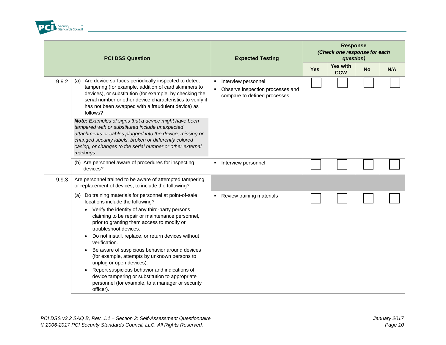

| <b>PCI DSS Question</b> |                                                                                                                                                                                                                                                                                                                                                                                                                                                                                                                                                                                                                                                                                                        |   | <b>Expected Testing</b>                                                                 | <b>Response</b><br>(Check one response for each<br>question) |                               |           |     |  |
|-------------------------|--------------------------------------------------------------------------------------------------------------------------------------------------------------------------------------------------------------------------------------------------------------------------------------------------------------------------------------------------------------------------------------------------------------------------------------------------------------------------------------------------------------------------------------------------------------------------------------------------------------------------------------------------------------------------------------------------------|---|-----------------------------------------------------------------------------------------|--------------------------------------------------------------|-------------------------------|-----------|-----|--|
|                         |                                                                                                                                                                                                                                                                                                                                                                                                                                                                                                                                                                                                                                                                                                        |   |                                                                                         | <b>Yes</b>                                                   | <b>Yes with</b><br><b>CCW</b> | <b>No</b> | N/A |  |
| 9.9.2                   | (a) Are device surfaces periodically inspected to detect<br>tampering (for example, addition of card skimmers to<br>devices), or substitution (for example, by checking the<br>serial number or other device characteristics to verify it<br>has not been swapped with a fraudulent device) as<br>follows?                                                                                                                                                                                                                                                                                                                                                                                             |   | Interview personnel<br>Observe inspection processes and<br>compare to defined processes |                                                              |                               |           |     |  |
|                         | Note: Examples of signs that a device might have been<br>tampered with or substituted include unexpected<br>attachments or cables plugged into the device, missing or<br>changed security labels, broken or differently colored<br>casing, or changes to the serial number or other external<br>markings.                                                                                                                                                                                                                                                                                                                                                                                              |   |                                                                                         |                                                              |                               |           |     |  |
|                         | (b) Are personnel aware of procedures for inspecting<br>devices?                                                                                                                                                                                                                                                                                                                                                                                                                                                                                                                                                                                                                                       |   | Interview personnel                                                                     |                                                              |                               |           |     |  |
| 9.9.3                   | Are personnel trained to be aware of attempted tampering<br>or replacement of devices, to include the following?                                                                                                                                                                                                                                                                                                                                                                                                                                                                                                                                                                                       |   |                                                                                         |                                                              |                               |           |     |  |
|                         | (a) Do training materials for personnel at point-of-sale<br>locations include the following?<br>Verify the identity of any third-party persons<br>$\bullet$<br>claiming to be repair or maintenance personnel,<br>prior to granting them access to modify or<br>troubleshoot devices.<br>Do not install, replace, or return devices without<br>$\bullet$<br>verification.<br>Be aware of suspicious behavior around devices<br>$\bullet$<br>(for example, attempts by unknown persons to<br>unplug or open devices).<br>Report suspicious behavior and indications of<br>$\bullet$<br>device tampering or substitution to appropriate<br>personnel (for example, to a manager or security<br>officer). | ٠ | Review training materials                                                               |                                                              |                               |           |     |  |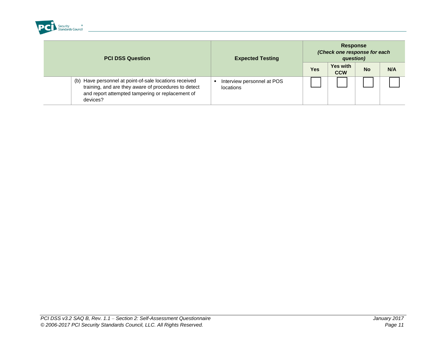

<span id="page-16-0"></span>

| <b>PCI DSS Question</b>                                                                                                                                                        | <b>Expected Testing</b>                 | <b>Response</b><br>(Check one response for each<br>question) |                               |           |     |  |
|--------------------------------------------------------------------------------------------------------------------------------------------------------------------------------|-----------------------------------------|--------------------------------------------------------------|-------------------------------|-----------|-----|--|
|                                                                                                                                                                                |                                         | <b>Yes</b>                                                   | <b>Yes with</b><br><b>CCW</b> | <b>No</b> | N/A |  |
| (b) Have personnel at point-of-sale locations received<br>training, and are they aware of procedures to detect<br>and report attempted tampering or replacement of<br>devices? | Interview personnel at POS<br>locations |                                                              |                               |           |     |  |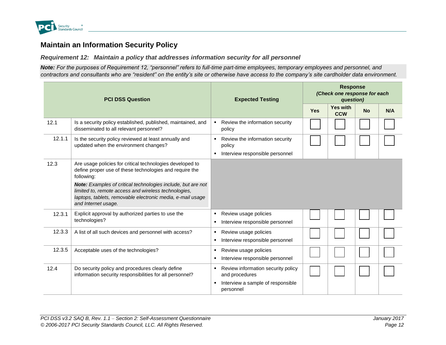

# **Maintain an Information Security Policy**

*Requirement 12: Maintain a policy that addresses information security for all personnel*

*Note: For the purposes of Requirement 12, "personnel" refers to full-time part-time employees, temporary employees and personnel, and contractors and consultants who are "resident" on the entity's site or otherwise have access to the company's site cardholder data environment.*

<span id="page-17-0"></span>

| <b>PCI DSS Question</b> |                                                                                                                                                                                                           | <b>Expected Testing</b>                                                                                     | <b>Response</b><br>(Check one response for each<br>question) |                               |           |     |  |
|-------------------------|-----------------------------------------------------------------------------------------------------------------------------------------------------------------------------------------------------------|-------------------------------------------------------------------------------------------------------------|--------------------------------------------------------------|-------------------------------|-----------|-----|--|
|                         |                                                                                                                                                                                                           |                                                                                                             | <b>Yes</b>                                                   | <b>Yes with</b><br><b>CCW</b> | <b>No</b> | N/A |  |
| 12.1                    | Is a security policy established, published, maintained, and<br>disseminated to all relevant personnel?                                                                                                   | • Review the information security<br>policy                                                                 |                                                              |                               |           |     |  |
| 12.1.1                  | Is the security policy reviewed at least annually and<br>updated when the environment changes?                                                                                                            | • Review the information security<br>policy<br>Interview responsible personnel<br>٠                         |                                                              |                               |           |     |  |
| 12.3                    | Are usage policies for critical technologies developed to<br>define proper use of these technologies and require the<br>following:                                                                        |                                                                                                             |                                                              |                               |           |     |  |
|                         | Note: Examples of critical technologies include, but are not<br>limited to, remote access and wireless technologies,<br>laptops, tablets, removable electronic media, e-mail usage<br>and Internet usage. |                                                                                                             |                                                              |                               |           |     |  |
| 12.3.1                  | Explicit approval by authorized parties to use the<br>technologies?                                                                                                                                       | Review usage policies<br>٠<br>Interview responsible personnel                                               |                                                              |                               |           |     |  |
| 12.3.3                  | A list of all such devices and personnel with access?                                                                                                                                                     | Review usage policies<br>Interview responsible personnel                                                    |                                                              |                               |           |     |  |
| 12.3.5                  | Acceptable uses of the technologies?                                                                                                                                                                      | Review usage policies<br>Interview responsible personnel<br>٠                                               |                                                              |                               |           |     |  |
| 12.4                    | Do security policy and procedures clearly define<br>information security responsibilities for all personnel?                                                                                              | Review information security policy<br>and procedures<br>Interview a sample of responsible<br>٠<br>personnel |                                                              |                               |           |     |  |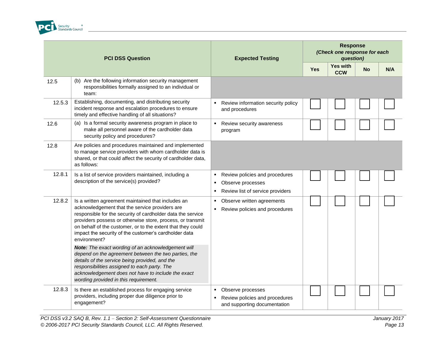

| <b>PCI DSS Question</b> |                                                                                                                                                                                                                                                                                                                                                                           |   | <b>Expected Testing</b>                                                                 | <b>Response</b><br>(Check one response for each<br>question) |  |                               |           |     |
|-------------------------|---------------------------------------------------------------------------------------------------------------------------------------------------------------------------------------------------------------------------------------------------------------------------------------------------------------------------------------------------------------------------|---|-----------------------------------------------------------------------------------------|--------------------------------------------------------------|--|-------------------------------|-----------|-----|
|                         |                                                                                                                                                                                                                                                                                                                                                                           |   |                                                                                         | <b>Yes</b>                                                   |  | <b>Yes with</b><br><b>CCW</b> | <b>No</b> | N/A |
| 12.5                    | (b) Are the following information security management<br>responsibilities formally assigned to an individual or<br>team:                                                                                                                                                                                                                                                  |   |                                                                                         |                                                              |  |                               |           |     |
| 12.5.3                  | Establishing, documenting, and distributing security<br>incident response and escalation procedures to ensure<br>timely and effective handling of all situations?                                                                                                                                                                                                         |   | Review information security policy<br>and procedures                                    |                                                              |  |                               |           |     |
| 12.6                    | (a) Is a formal security awareness program in place to<br>make all personnel aware of the cardholder data<br>security policy and procedures?                                                                                                                                                                                                                              |   | Review security awareness<br>program                                                    |                                                              |  |                               |           |     |
| 12.8                    | Are policies and procedures maintained and implemented<br>to manage service providers with whom cardholder data is<br>shared, or that could affect the security of cardholder data,<br>as follows:                                                                                                                                                                        |   |                                                                                         |                                                              |  |                               |           |     |
| 12.8.1                  | Is a list of service providers maintained, including a<br>description of the service(s) provided?                                                                                                                                                                                                                                                                         | ٠ | Review policies and procedures<br>Observe processes<br>Review list of service providers |                                                              |  |                               |           |     |
| 12.8.2                  | Is a written agreement maintained that includes an<br>acknowledgement that the service providers are<br>responsible for the security of cardholder data the service<br>providers possess or otherwise store, process, or transmit<br>on behalf of the customer, or to the extent that they could<br>impact the security of the customer's cardholder data<br>environment? |   | Observe written agreements<br>Review policies and procedures                            |                                                              |  |                               |           |     |
|                         | Note: The exact wording of an acknowledgement will<br>depend on the agreement between the two parties, the<br>details of the service being provided, and the<br>responsibilities assigned to each party. The<br>acknowledgement does not have to include the exact<br>wording provided in this requirement.                                                               |   |                                                                                         |                                                              |  |                               |           |     |
| 12.8.3                  | Is there an established process for engaging service<br>providers, including proper due diligence prior to<br>engagement?                                                                                                                                                                                                                                                 | ٠ | Observe processes<br>Review policies and procedures<br>and supporting documentation     |                                                              |  |                               |           |     |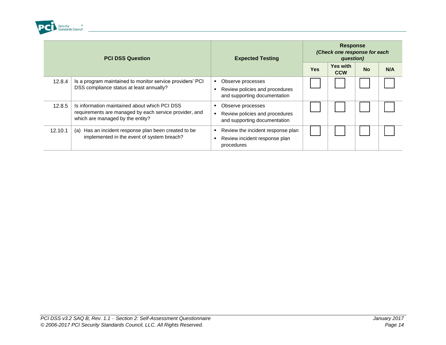

| <b>PCI DSS Question</b> |                                                                                                                                             | <b>Expected Testing</b>                                                             | <b>Response</b><br>(Check one response for each<br>question) |                        |           |     |
|-------------------------|---------------------------------------------------------------------------------------------------------------------------------------------|-------------------------------------------------------------------------------------|--------------------------------------------------------------|------------------------|-----------|-----|
|                         |                                                                                                                                             |                                                                                     | <b>Yes</b>                                                   | Yes with<br><b>CCW</b> | <b>No</b> | N/A |
| 12.8.4                  | Is a program maintained to monitor service providers' PCI<br>DSS compliance status at least annually?                                       | Observe processes<br>Review policies and procedures<br>and supporting documentation |                                                              |                        |           |     |
| 12.8.5                  | Is information maintained about which PCI DSS<br>requirements are managed by each service provider, and<br>which are managed by the entity? | Observe processes<br>Review policies and procedures<br>and supporting documentation |                                                              |                        |           |     |
| 12.10.1                 | (a) Has an incident response plan been created to be<br>implemented in the event of system breach?                                          | Review the incident response plan<br>Review incident response plan<br>procedures    |                                                              |                        |           |     |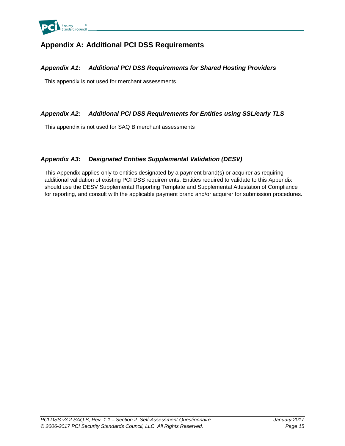

# <span id="page-20-0"></span>**Appendix A: Additional PCI DSS Requirements**

### <span id="page-20-1"></span>*Appendix A1: Additional PCI DSS Requirements for Shared Hosting Providers*

This appendix is not used for merchant assessments.

### <span id="page-20-2"></span>*Appendix A2: Additional PCI DSS Requirements for Entities using SSL/early TLS*

This appendix is not used for SAQ B merchant assessments

## <span id="page-20-3"></span>*Appendix A3: Designated Entities Supplemental Validation (DESV)*

This Appendix applies only to entities designated by a payment brand(s) or acquirer as requiring additional validation of existing PCI DSS requirements. Entities required to validate to this Appendix should use the DESV Supplemental Reporting Template and Supplemental Attestation of Compliance for reporting, and consult with the applicable payment brand and/or acquirer for submission procedures.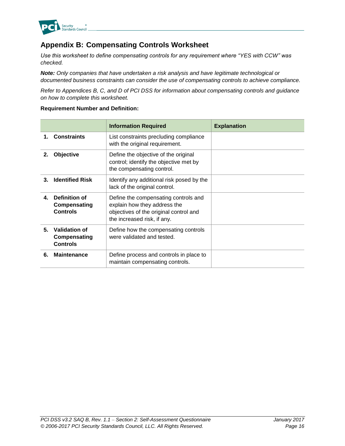

# <span id="page-21-0"></span>**Appendix B: Compensating Controls Worksheet**

*Use this worksheet to define compensating controls for any requirement where "YES with CCW" was checked.*

*Note: Only companies that have undertaken a risk analysis and have legitimate technological or documented business constraints can consider the use of compensating controls to achieve compliance.*

*Refer to Appendices B, C, and D of PCI DSS for information about compensating controls and guidance on how to complete this worksheet.*

### **Requirement Number and Definition:**

|         |                                                  | <b>Information Required</b>                                                                                                                   | <b>Explanation</b> |
|---------|--------------------------------------------------|-----------------------------------------------------------------------------------------------------------------------------------------------|--------------------|
| 1.      | <b>Constraints</b>                               | List constraints precluding compliance<br>with the original requirement.                                                                      |                    |
| $2_{-}$ | Objective                                        | Define the objective of the original<br>control; identify the objective met by<br>the compensating control.                                   |                    |
| З.      | <b>Identified Risk</b>                           | Identify any additional risk posed by the<br>lack of the original control.                                                                    |                    |
| 4.      | Definition of<br>Compensating<br><b>Controls</b> | Define the compensating controls and<br>explain how they address the<br>objectives of the original control and<br>the increased risk, if any. |                    |
| 5.      | Validation of<br>Compensating<br><b>Controls</b> | Define how the compensating controls<br>were validated and tested.                                                                            |                    |
| 6.      | <b>Maintenance</b>                               | Define process and controls in place to<br>maintain compensating controls.                                                                    |                    |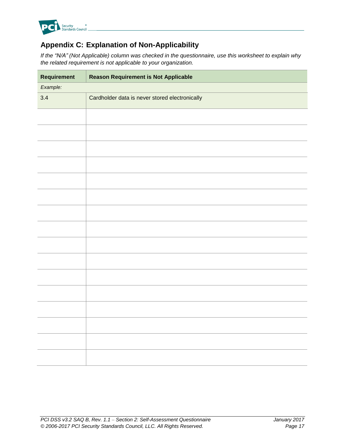

# <span id="page-22-0"></span>**Appendix C: Explanation of Non-Applicability**

*If the "N/A" (Not Applicable) column was checked in the questionnaire, use this worksheet to explain why the related requirement is not applicable to your organization.*

| <b>Requirement</b> | <b>Reason Requirement is Not Applicable</b>    |  |  |
|--------------------|------------------------------------------------|--|--|
| Example:           |                                                |  |  |
| 3.4                | Cardholder data is never stored electronically |  |  |
|                    |                                                |  |  |
|                    |                                                |  |  |
|                    |                                                |  |  |
|                    |                                                |  |  |
|                    |                                                |  |  |
|                    |                                                |  |  |
|                    |                                                |  |  |
|                    |                                                |  |  |
|                    |                                                |  |  |
|                    |                                                |  |  |
|                    |                                                |  |  |
|                    |                                                |  |  |
|                    |                                                |  |  |
|                    |                                                |  |  |
|                    |                                                |  |  |
|                    |                                                |  |  |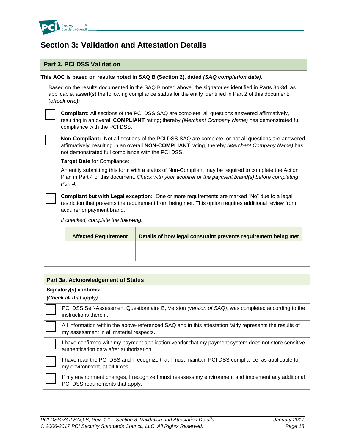

# <span id="page-23-0"></span>**Section 3: Validation and Attestation Details**

### **Part 3. PCI DSS Validation**

#### **This AOC is based on results noted in SAQ B (Section 2), dated** *(SAQ completion date).*

Based on the results documented in the SAQ B noted above, the signatories identified in Parts 3b-3d, as applicable, assert(s) the following compliance status for the entity identified in Part 2 of this document: (*check one):*

**Compliant:** All sections of the PCI DSS SAQ are complete, all questions answered affirmatively, resulting in an overall **COMPLIANT** rating; thereby *(Merchant Company Name)* has demonstrated full compliance with the PCI DSS.

**Non-Compliant:** Not all sections of the PCI DSS SAQ are complete, or not all questions are answered affirmatively, resulting in an overall **NON-COMPLIANT** rating, thereby *(Merchant Company Name)* has not demonstrated full compliance with the PCI DSS.

**Target Date** for Compliance:

An entity submitting this form with a status of Non-Compliant may be required to complete the Action Plan in Part 4 of this document. *Check with your acquirer or the payment brand(s) before completing Part 4.*

**Compliant but with Legal exception:** One or more requirements are marked "No" due to a legal restriction that prevents the requirement from being met. This option requires additional review from acquirer or payment brand.

*If checked, complete the following:*

| <b>Affected Requirement</b> | Details of how legal constraint prevents requirement being met |
|-----------------------------|----------------------------------------------------------------|
|                             |                                                                |
|                             |                                                                |
|                             |                                                                |

#### **Part 3a. Acknowledgement of Status**

#### **Signatory(s) confirms:**

#### *(Check all that apply)*

| PCI DSS Self-Assessment Questionnaire B, Version (version of SAQ), was completed according to the<br>instructions therein.                          |
|-----------------------------------------------------------------------------------------------------------------------------------------------------|
| All information within the above-referenced SAQ and in this attestation fairly represents the results of<br>my assessment in all material respects. |
| I have confirmed with my payment application vendor that my payment system does not store sensitive<br>authentication data after authorization.     |
| I have read the PCI DSS and I recognize that I must maintain PCI DSS compliance, as applicable to<br>my environment, at all times.                  |
| If my environment changes, I recognize I must reassess my environment and implement any additional<br>PCI DSS requirements that apply.              |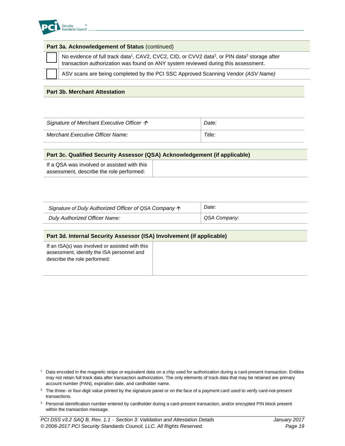

| Part 3a. Acknowledgement of Status (continued) |                                                                                                                                                                                                                      |  |  |
|------------------------------------------------|----------------------------------------------------------------------------------------------------------------------------------------------------------------------------------------------------------------------|--|--|
|                                                | No evidence of full track data <sup>1</sup> , CAV2, CVC2, CID, or CVV2 data <sup>2</sup> , or PIN data <sup>3</sup> storage after transaction authorization was found on ANY system reviewed during this assessment. |  |  |
|                                                | ASV scans are being completed by the PCI SSC Approved Scanning Vendor (ASV Name)                                                                                                                                     |  |  |
|                                                |                                                                                                                                                                                                                      |  |  |

#### **Part 3b. Merchant Attestation**

| Signature of Merchant Executive Officer $\uparrow$ | Date:  |
|----------------------------------------------------|--------|
| Merchant Executive Officer Name:                   | Title: |

| Part 3c. Qualified Security Assessor (QSA) Acknowledgement (if applicable)              |  |  |
|-----------------------------------------------------------------------------------------|--|--|
| If a QSA was involved or assisted with this<br>assessment, describe the role performed: |  |  |

| Signature of Duly Authorized Officer of QSA Company $\uparrow$ | Date:        |  |
|----------------------------------------------------------------|--------------|--|
| Duly Authorized Officer Name:                                  | QSA Company: |  |

| Part 3d. Internal Security Assessor (ISA) Involvement (if applicable)                                                         |  |  |
|-------------------------------------------------------------------------------------------------------------------------------|--|--|
| If an ISA(s) was involved or assisted with this<br>assessment, identify the ISA personnel and<br>describe the role performed: |  |  |

- <sup>1</sup> Data encoded in the magnetic stripe or equivalent data on a chip used for authorization during a card-present transaction. Entities may not retain full track data after transaction authorization. The only elements of track data that may be retained are primary account number (PAN), expiration date, and cardholder name.
- <sup>2</sup> The three- or four-digit value printed by the signature panel or on the face of a payment card used to verify card-not-present transactions.
- <sup>3</sup> Personal identification number entered by cardholder during a card-present transaction, and/or encrypted PIN block present within the transaction message.